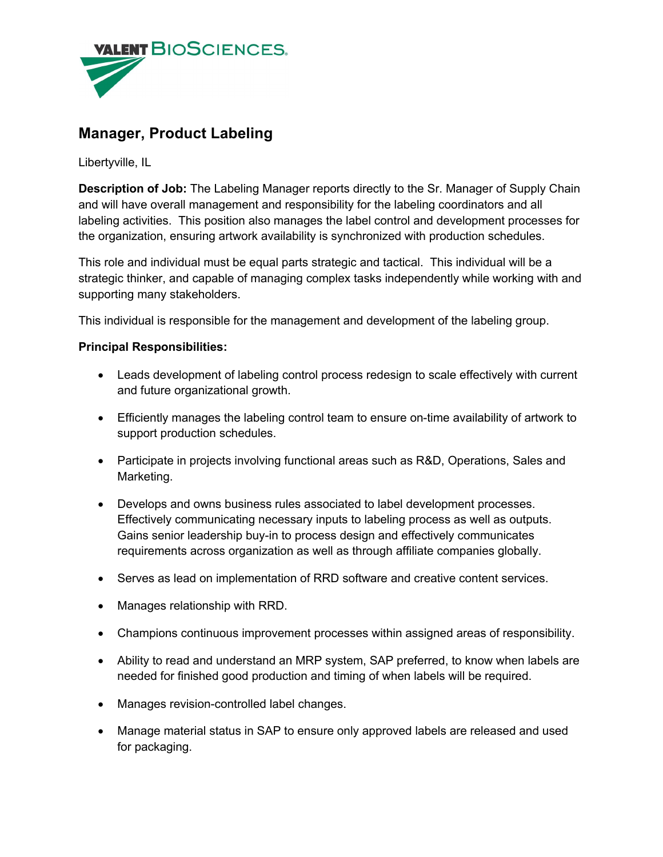

## **Manager, Product Labeling**

Libertyville, IL

**Description of Job:** The Labeling Manager reports directly to the Sr. Manager of Supply Chain and will have overall management and responsibility for the labeling coordinators and all labeling activities. This position also manages the label control and development processes for the organization, ensuring artwork availability is synchronized with production schedules.

This role and individual must be equal parts strategic and tactical. This individual will be a strategic thinker, and capable of managing complex tasks independently while working with and supporting many stakeholders.

This individual is responsible for the management and development of the labeling group.

## **Principal Responsibilities:**

- Leads development of labeling control process redesign to scale effectively with current and future organizational growth.
- Efficiently manages the labeling control team to ensure on-time availability of artwork to support production schedules.
- Participate in projects involving functional areas such as R&D, Operations, Sales and Marketing.
- Develops and owns business rules associated to label development processes. Effectively communicating necessary inputs to labeling process as well as outputs. Gains senior leadership buy-in to process design and effectively communicates requirements across organization as well as through affiliate companies globally.
- Serves as lead on implementation of RRD software and creative content services.
- Manages relationship with RRD.
- Champions continuous improvement processes within assigned areas of responsibility.
- Ability to read and understand an MRP system, SAP preferred, to know when labels are needed for finished good production and timing of when labels will be required.
- Manages revision-controlled label changes.
- Manage material status in SAP to ensure only approved labels are released and used for packaging.